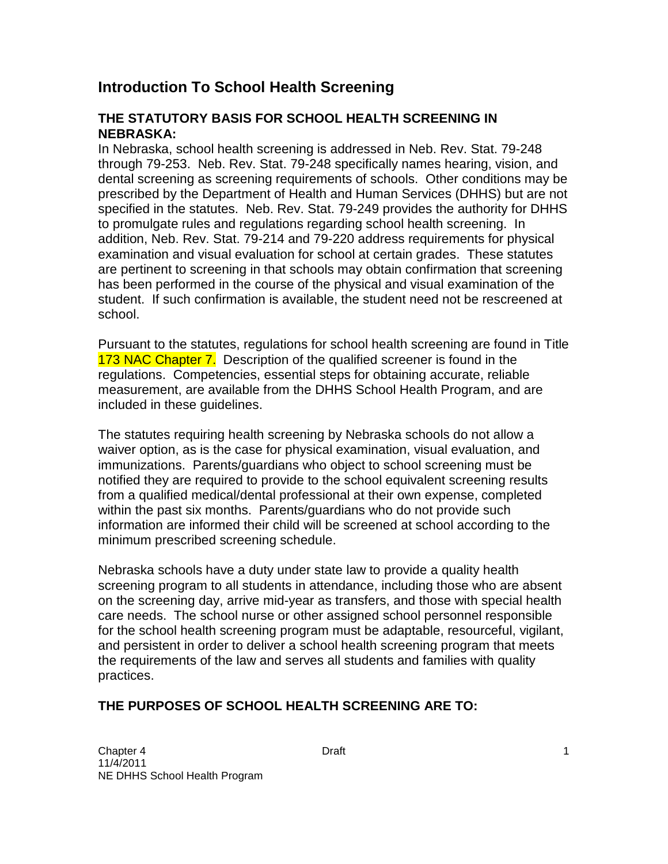# **Introduction To School Health Screening**

### **THE STATUTORY BASIS FOR SCHOOL HEALTH SCREENING IN NEBRASKA:**

 In Nebraska, school health screening is addressed in Neb. Rev. Stat. 79-248 through 79-253. Neb. Rev. Stat. 79-248 specifically names hearing, vision, and dental screening as screening requirements of schools. Other conditions may be prescribed by the Department of Health and Human Services (DHHS) but are not specified in the statutes. Neb. Rev. Stat. 79-249 provides the authority for DHHS to promulgate rules and regulations regarding school health screening. In addition, Neb. Rev. Stat. 79-214 and 79-220 address requirements for physical examination and visual evaluation for school at certain grades. These statutes are pertinent to screening in that schools may obtain confirmation that screening has been performed in the course of the physical and visual examination of the student. If such confirmation is available, the student need not be rescreened at school

school.<br>Pursuant to the statutes, regulations for school health screening are found in Title 173 NAC Chapter 7. Description of the qualified screener is found in the regulations. Competencies, essential steps for obtaining accurate, reliable measurement, are available from the DHHS School Health Program, and are included in these guidelines.

 The statutes requiring health screening by Nebraska schools do not allow a waiver option, as is the case for physical examination, visual evaluation, and immunizations. Parents/guardians who object to school screening must be notified they are required to provide to the school equivalent screening results from a qualified medical/dental professional at their own expense, completed within the past six months. Parents/guardians who do not provide such information are informed their child will be screened at school according to the minimum prescribed screening schedule.

 Nebraska schools have a duty under state law to provide a quality health screening program to all students in attendance, including those who are absent on the screening day, arrive mid-year as transfers, and those with special health care needs. The school nurse or other assigned school personnel responsible for the school health screening program must be adaptable, resourceful, vigilant, and persistent in order to deliver a school health screening program that meets the requirements of the law and serves all students and families with quality practices.

### **THE PURPOSES OF SCHOOL HEALTH SCREENING ARE TO:**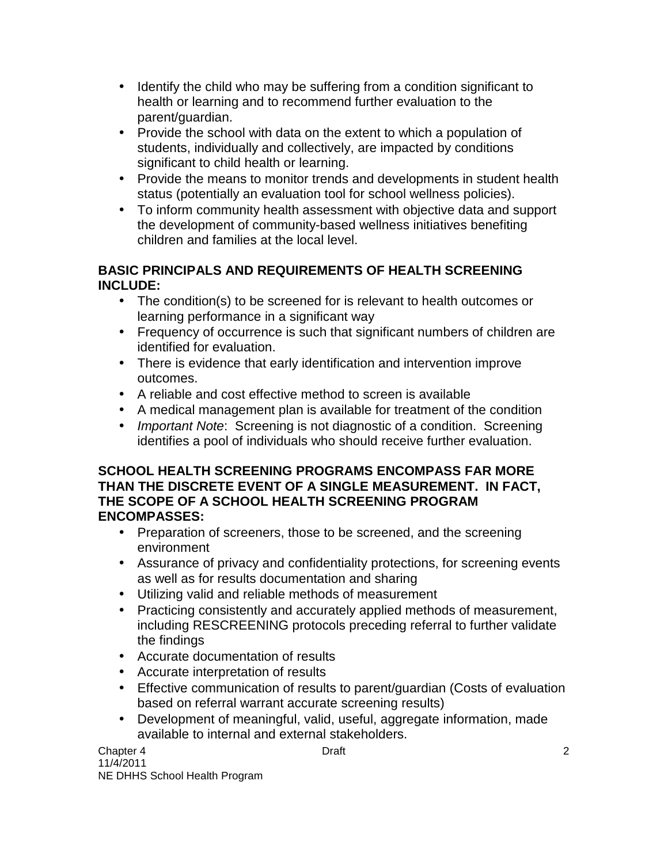- Identify the child who may be suffering from a condition significant to health or learning and to recommend further evaluation to the parent/guardian.
- Provide the school with data on the extent to which a population of students, individually and collectively, are impacted by conditions significant to child health or learning.
- Provide the means to monitor trends and developments in student health status (potentially an evaluation tool for school wellness policies).
- To inform community health assessment with objective data and support the development of community-based wellness initiatives benefiting children and families at the local level.

### **BASIC PRINCIPALS AND REQUIREMENTS OF HEALTH SCREENING INCLUDE:**

- The condition(s) to be screened for is relevant to health outcomes or learning performance in a significant way
- Frequency of occurrence is such that significant numbers of children are identified for evaluation.
- There is evidence that early identification and intervention improve outcomes.
- • A reliable and cost effective method to screen is available
- A medical management plan is available for treatment of the condition
- Important Note: Screening is not diagnostic of a condition. Screening identifies a pool of individuals who should receive further evaluation.

### **SCHOOL HEALTH SCREENING PROGRAMS ENCOMPASS FAR MORE THAN THE DISCRETE EVENT OF A SINGLE MEASUREMENT. IN FACT, THE SCOPE OF A SCHOOL HEALTH SCREENING PROGRAM ENCOMPASSES:**

- Preparation of screeners, those to be screened, and the screening environment
- Assurance of privacy and confidentiality protections, for screening events as well as for results documentation and sharing
- • Utilizing valid and reliable methods of measurement
- Practicing consistently and accurately applied methods of measurement, including RESCREENING protocols preceding referral to further validate the findings
- Accurate documentation of results
- • Accurate interpretation of results
- Effective communication of results to parent/guardian (Costs of evaluation based on referral warrant accurate screening results)
- Development of meaningful, valid, useful, aggregate information, made available to internal and external stakeholders.

Chapter 4 Draft NE DHHS School Health Program 11/4/2011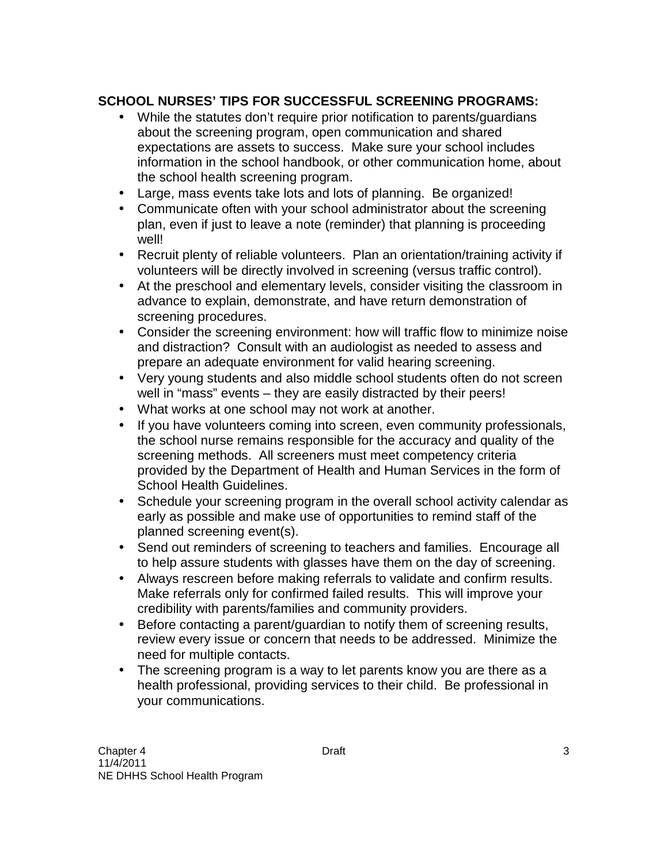## **SCHOOL NURSES' TIPS FOR SUCCESSFUL SCREENING PROGRAMS:**

- While the statutes don't require prior notification to parents/guardians about the screening program, open communication and shared expectations are assets to success. Make sure your school includes information in the school handbook, or other communication home, about the school health screening program.
- Large, mass events take lots and lots of planning. Be organized!
- Communicate often with your school administrator about the screening plan, even if just to leave a note (reminder) that planning is proceeding well!
- Recruit plenty of reliable volunteers. Plan an orientation/training activity if volunteers will be directly involved in screening (versus traffic control).
- At the preschool and elementary levels, consider visiting the classroom in advance to explain, demonstrate, and have return demonstration of screening procedures.
- Consider the screening environment: how will traffic flow to minimize noise and distraction? Consult with an audiologist as needed to assess and prepare an adequate environment for valid hearing screening.
- Very young students and also middle school students often do not screen well in "mass" events – they are easily distracted by their peers!
- What works at one school may not work at another.
- If you have volunteers coming into screen, even community professionals, the school nurse remains responsible for the accuracy and quality of the screening methods. All screeners must meet competency criteria provided by the Department of Health and Human Services in the form of School Health Guidelines.
- Schedule your screening program in the overall school activity calendar as early as possible and make use of opportunities to remind staff of the planned screening event(s).
- Send out reminders of screening to teachers and families. Encourage all to help assure students with glasses have them on the day of screening.
- Always rescreen before making referrals to validate and confirm results. Make referrals only for confirmed failed results. This will improve your credibility with parents/families and community providers.
- Before contacting a parent/guardian to notify them of screening results, review every issue or concern that needs to be addressed. Minimize the need for multiple contacts.
- The screening program is a way to let parents know you are there as a health professional, providing services to their child. Be professional in your communications.